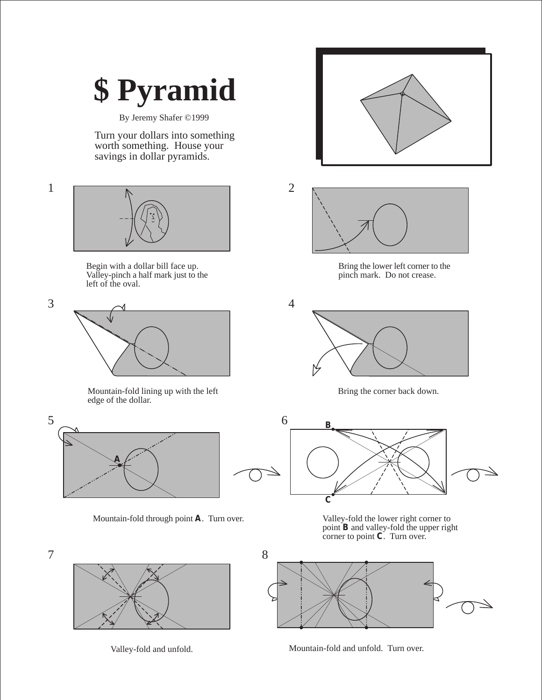## **\$ Pyramid**

By Jeremy Shafer ©1999

Turn your dollars into something worth something. House your savings in dollar pyramids.





Begin with a dollar bill face up. Valley-pinch a half mark just to the left of the oval.



Mountain-fold lining up with the left edge of the dollar.





Valley-fold and unfold. Mountain-fold and unfold. Turn over.